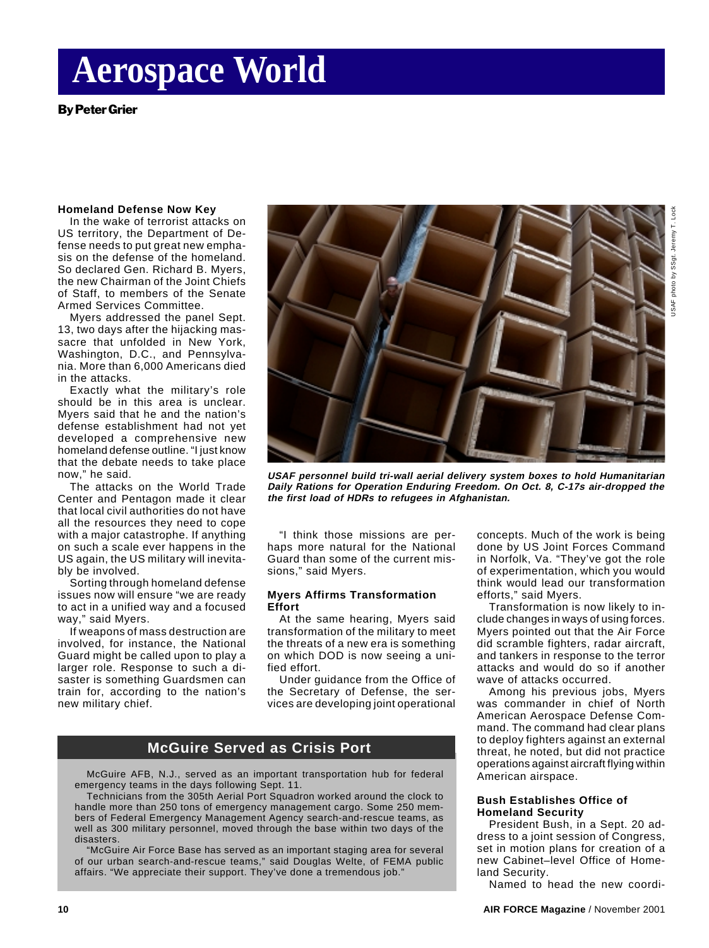# **Aerospace World**

By Peter Grier

#### **Homeland Defense Now Key**

In the wake of terrorist attacks on US territory, the Department of Defense needs to put great new emphasis on the defense of the homeland. So declared Gen. Richard B. Myers, the new Chairman of the Joint Chiefs of Staff, to members of the Senate Armed Services Committee.

Myers addressed the panel Sept. 13, two days after the hijacking massacre that unfolded in New York, Washington, D.C., and Pennsylvania. More than 6,000 Americans died in the attacks.

Exactly what the military's role should be in this area is unclear. Myers said that he and the nation's defense establishment had not yet developed a comprehensive new homeland defense outline. "I just know that the debate needs to take place now," he said.

The attacks on the World Trade Center and Pentagon made it clear that local civil authorities do not have all the resources they need to cope with a major catastrophe. If anything on such a scale ever happens in the US again, the US military will inevitably be involved.

Sorting through homeland defense issues now will ensure "we are ready to act in a unified way and a focused way," said Myers.

If weapons of mass destruction are involved, for instance, the National Guard might be called upon to play a larger role. Response to such a disaster is something Guardsmen can train for, according to the nation's new military chief.



**USAF personnel build tri-wall aerial delivery system boxes to hold Humanitarian Daily Rations for Operation Enduring Freedom. On Oct. 8, C-17s air-dropped the the first load of HDRs to refugees in Afghanistan.**

"I think those missions are perhaps more natural for the National Guard than some of the current missions," said Myers.

#### **Myers Affirms Transformation Effort**

At the same hearing, Myers said transformation of the military to meet the threats of a new era is something on which DOD is now seeing a unified effort.

Under guidance from the Office of the Secretary of Defense, the services are developing joint operational

## **McGuire Served as Crisis Port**

McGuire AFB, N.J., served as an important transportation hub for federal emergency teams in the days following Sept. 11.

Technicians from the 305th Aerial Port Squadron worked around the clock to handle more than 250 tons of emergency management cargo. Some 250 members of Federal Emergency Management Agency search-and-rescue teams, as well as 300 military personnel, moved through the base within two days of the disasters.

"McGuire Air Force Base has served as an important staging area for several of our urban search-and-rescue teams," said Douglas Welte, of FEMA public affairs. "We appreciate their support. They've done a tremendous job."

concepts. Much of the work is being done by US Joint Forces Command in Norfolk, Va. "They've got the role of experimentation, which you would think would lead our transformation efforts," said Myers.

Transformation is now likely to include changes in ways of using forces. Myers pointed out that the Air Force did scramble fighters, radar aircraft, and tankers in response to the terror attacks and would do so if another wave of attacks occurred.

Among his previous jobs, Myers was commander in chief of North American Aerospace Defense Command. The command had clear plans to deploy fighters against an external threat, he noted, but did not practice operations against aircraft flying within American airspace.

#### **Bush Establishes Office of Homeland Security**

President Bush, in a Sept. 20 address to a joint session of Congress, set in motion plans for creation of a new Cabinet–level Office of Homeland Security.

Named to head the new coordi-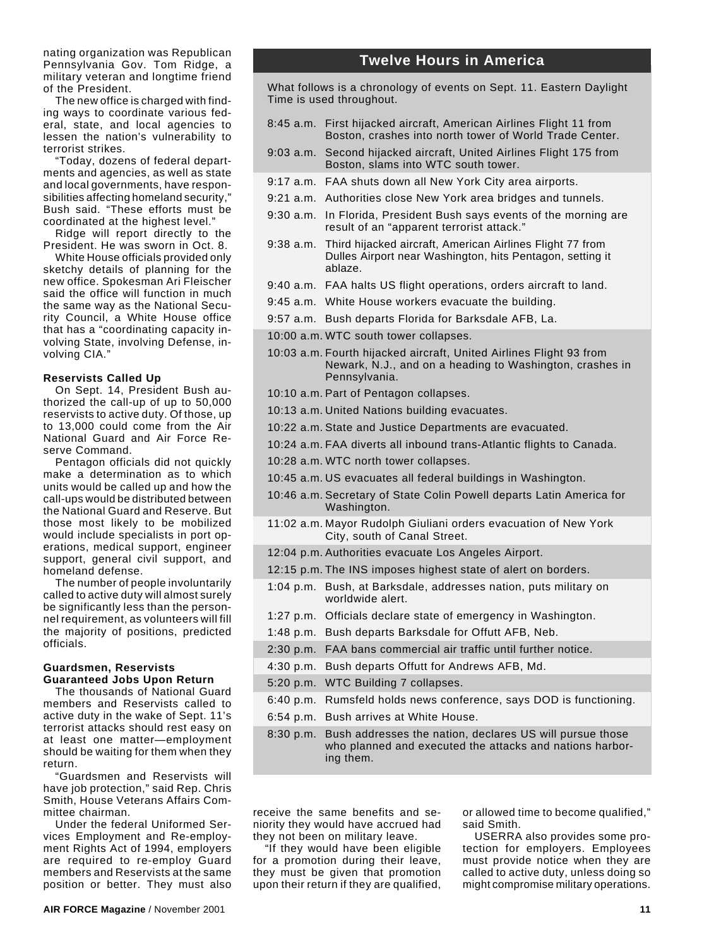nating organization was Republican Pennsylvania Gov. Tom Ridge, a military veteran and longtime friend of the President.

The new office is charged with finding ways to coordinate various federal, state, and local agencies to lessen the nation's vulnerability to terrorist strikes.

"Today, dozens of federal departments and agencies, as well as state and local governments, have responsibilities affecting homeland security," Bush said. "These efforts must be coordinated at the highest level."

Ridge will report directly to the President. He was sworn in Oct. 8.

White House officials provided only sketchy details of planning for the new office. Spokesman Ari Fleischer said the office will function in much the same way as the National Security Council, a White House office that has a "coordinating capacity involving State, involving Defense, involving CIA."

#### **Reservists Called Up**

On Sept. 14, President Bush authorized the call-up of up to 50,000 reservists to active duty. Of those, up to 13,000 could come from the Air National Guard and Air Force Reserve Command.

Pentagon officials did not quickly make a determination as to which units would be called up and how the call-ups would be distributed between the National Guard and Reserve. But those most likely to be mobilized would include specialists in port operations, medical support, engineer support, general civil support, and homeland defense.

The number of people involuntarily called to active duty will almost surely be significantly less than the personnel requirement, as volunteers will fill the majority of positions, predicted officials.

#### **Guardsmen, Reservists Guaranteed Jobs Upon Return**

The thousands of National Guard members and Reservists called to active duty in the wake of Sept. 11's terrorist attacks should rest easy on at least one matter—employment should be waiting for them when they return.

"Guardsmen and Reservists will have job protection," said Rep. Chris Smith, House Veterans Affairs Committee chairman.

Under the federal Uniformed Services Employment and Re-employment Rights Act of 1994, employers are required to re-employ Guard members and Reservists at the same position or better. They must also

### **Twelve Hours in America**

What follows is a chronology of events on Sept. 11. Eastern Daylight Time is used throughout.

- 8:45 a.m. First hijacked aircraft, American Airlines Flight 11 from Boston, crashes into north tower of World Trade Center.
- 9:03 a.m. Second hijacked aircraft, United Airlines Flight 175 from Boston, slams into WTC south tower.
- 9:17 a.m. FAA shuts down all New York City area airports.
- 9:21 a.m. Authorities close New York area bridges and tunnels.
- 9:30 a.m. In Florida, President Bush says events of the morning are result of an "apparent terrorist attack."
- 9:38 a.m. Third hijacked aircraft, American Airlines Flight 77 from Dulles Airport near Washington, hits Pentagon, setting it ablaze.
- 9:40 a.m. FAA halts US flight operations, orders aircraft to land.
- 9:45 a.m. White House workers evacuate the building.
- 9:57 a.m. Bush departs Florida for Barksdale AFB, La.
- 10:00 a.m. WTC south tower collapses.
- 10:03 a.m. Fourth hijacked aircraft, United Airlines Flight 93 from Newark, N.J., and on a heading to Washington, crashes in Pennsylvania.
- 10:10 a.m. Part of Pentagon collapses.
- 10:13 a.m. United Nations building evacuates.
- 10:22 a.m. State and Justice Departments are evacuated.
- 10:24 a.m. FAA diverts all inbound trans-Atlantic flights to Canada.
- 10:28 a.m. WTC north tower collapses.
- 10:45 a.m. US evacuates all federal buildings in Washington.
- 10:46 a.m. Secretary of State Colin Powell departs Latin America for Washington.
- 11:02 a.m. Mayor Rudolph Giuliani orders evacuation of New York City, south of Canal Street.
- 12:04 p.m. Authorities evacuate Los Angeles Airport.
- 12:15 p.m. The INS imposes highest state of alert on borders.
- 1:04 p.m. Bush, at Barksdale, addresses nation, puts military on worldwide alert.
- 1:27 p.m. Officials declare state of emergency in Washington.
- 1:48 p.m. Bush departs Barksdale for Offutt AFB, Neb.
- 2:30 p.m. FAA bans commercial air traffic until further notice.
- 4:30 p.m. Bush departs Offutt for Andrews AFB, Md.
- 5:20 p.m. WTC Building 7 collapses.
- 6:40 p.m. Rumsfeld holds news conference, says DOD is functioning.
- 6:54 p.m. Bush arrives at White House.
- 8:30 p.m. Bush addresses the nation, declares US will pursue those who planned and executed the attacks and nations harboring them.

receive the same benefits and seniority they would have accrued had they not been on military leave.

"If they would have been eligible for a promotion during their leave, they must be given that promotion upon their return if they are qualified, or allowed time to become qualified," said Smith.

USERRA also provides some protection for employers. Employees must provide notice when they are called to active duty, unless doing so might compromise military operations.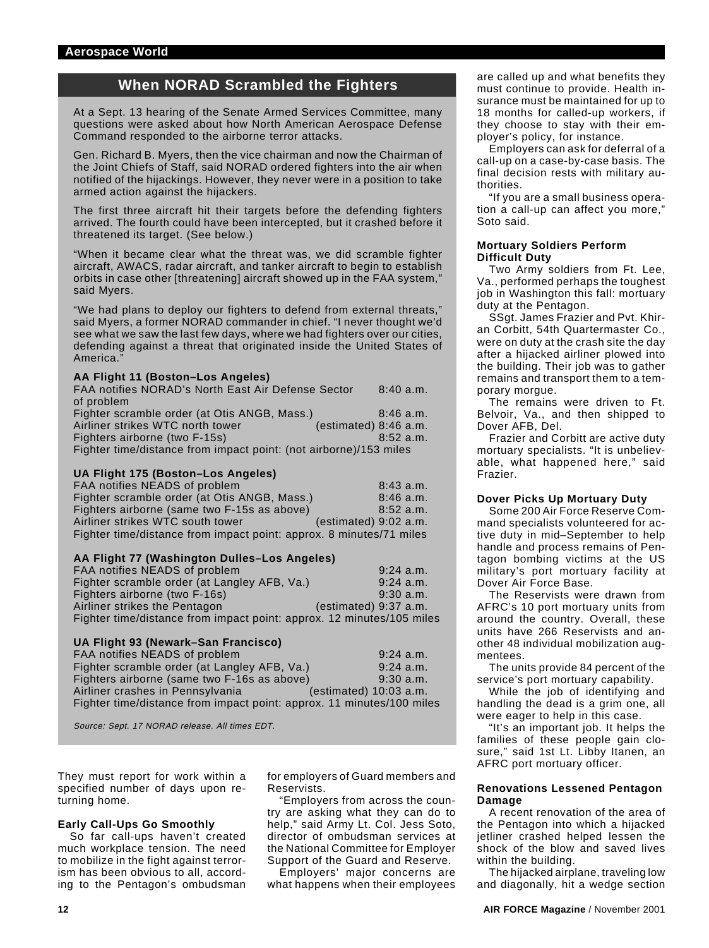## **When NORAD Scrambled the Fighters**

At a Sept. 13 hearing of the Senate Armed Services Committee, many questions were asked about how North American Aerospace Defense Command responded to the airborne terror attacks.

Gen. Richard B. Myers, then the vice chairman and now the Chairman of the Joint Chiefs of Staff, said NORAD ordered fighters into the air when notified of the hijackings. However, they never were in a position to take armed action against the hijackers.

The first three aircraft hit their targets before the defending fighters arrived. The fourth could have been intercepted, but it crashed before it threatened its target. (See below.)

"When it became clear what the threat was, we did scramble fighter aircraft, AWACS, radar aircraft, and tanker aircraft to begin to establish orbits in case other [threatening] aircraft showed up in the FAA system," said Myers.

"We had plans to deploy our fighters to defend from external threats," said Myers, a former NORAD commander in chief. "I never thought we'd see what we saw the last few days, where we had fighters over our cities, defending against a threat that originated inside the United States of America.

#### **AA Flight 11 (Boston–Los Angeles)**

| FAA notifies NORAD's North East Air Defense Sector                | $8:40$ a.m. |
|-------------------------------------------------------------------|-------------|
| of problem                                                        |             |
| Fighter scramble order (at Otis ANGB, Mass.)                      | $8:46$ a.m. |
| Airliner strikes WTC north tower<br>(estimated) 8:46 a.m.         |             |
| Fighters airborne (two F-15s)                                     | 8:52 a.m.   |
| Fighter time/distance from impact point: (not airborne)/153 miles |             |

#### **UA Flight 175 (Boston–Los Angeles)**

| FAA notifies NEADS of problem                                       | 8:43a.m.                |
|---------------------------------------------------------------------|-------------------------|
| Fighter scramble order (at Otis ANGB, Mass.)                        | $8:46$ a.m.             |
| Fighters airborne (same two F-15s as above)                         | $8:52$ a.m.             |
| Airliner strikes WTC south tower                                    | $(estimated)$ 9:02 a.m. |
| Fighter time/distance from impact point: approx. 8 minutes/71 miles |                         |

#### **AA Flight 77 (Washington Dulles–Los Angeles)**

| FAA notifies NEADS of problem                                         | $9:24$ a.m.             |
|-----------------------------------------------------------------------|-------------------------|
| Fighter scramble order (at Langley AFB, Va.)                          | $9:24$ a.m.             |
| Fighters airborne (two F-16s)                                         | 9:30 a.m.               |
| Airliner strikes the Pentagon                                         | $(estimated)$ 9:37 a.m. |
| Fighter time/distance from impact point: approx. 12 minutes/105 miles |                         |

#### **UA Flight 93 (Newark–San Francisco)**

| FAA notifies NEADS of problem                                         | $9:24$ a.m.              |
|-----------------------------------------------------------------------|--------------------------|
| Fighter scramble order (at Langley AFB, Va.)                          | $9:24$ a.m.              |
| Fighters airborne (same two F-16s as above)                           | $9:30$ a.m.              |
| Airliner crashes in Pennsylvania                                      | $(estimated)$ 10:03 a.m. |
| Fighter time/distance from impact point: approx. 11 minutes/100 miles |                          |

Source: Sept. 17 NORAD release. All times EDT.

They must report for work within a specified number of days upon returning home.

#### **Early Call-Ups Go Smoothly**

So far call-ups haven't created much workplace tension. The need to mobilize in the fight against terrorism has been obvious to all, according to the Pentagon's ombudsman

for employers of Guard members and Reservists.

"Employers from across the country are asking what they can do to help," said Army Lt. Col. Jess Soto, director of ombudsman services at the National Committee for Employer Support of the Guard and Reserve.

Employers' major concerns are what happens when their employees are called up and what benefits they must continue to provide. Health insurance must be maintained for up to 18 months for called-up workers, if they choose to stay with their employer's policy, for instance.

Employers can ask for deferral of a call-up on a case-by-case basis. The final decision rests with military authorities.

"If you are a small business operation a call-up can affect you more," Soto said.

#### **Mortuary Soldiers Perform Difficult Duty**

Two Army soldiers from Ft. Lee, Va., performed perhaps the toughest job in Washington this fall: mortuary duty at the Pentagon.

SSgt. James Frazier and Pvt. Khiran Corbitt, 54th Quartermaster Co., were on duty at the crash site the day after a hijacked airliner plowed into the building. Their job was to gather remains and transport them to a temporary morgue.

The remains were driven to Ft. Belvoir, Va., and then shipped to Dover AFB, Del.

Frazier and Corbitt are active duty mortuary specialists. "It is unbelievable, what happened here," said Frazier.

#### **Dover Picks Up Mortuary Duty**

Some 200 Air Force Reserve Command specialists volunteered for active duty in mid–September to help handle and process remains of Pentagon bombing victims at the US military's port mortuary facility at Dover Air Force Base.

The Reservists were drawn from AFRC's 10 port mortuary units from around the country. Overall, these units have 266 Reservists and another 48 individual mobilization augmentees.

The units provide 84 percent of the service's port mortuary capability.

While the job of identifying and handling the dead is a grim one, all were eager to help in this case.

"It's an important job. It helps the families of these people gain closure," said 1st Lt. Libby Itanen, an AFRC port mortuary officer.

#### **Renovations Lessened Pentagon Damage**

A recent renovation of the area of the Pentagon into which a hijacked jetliner crashed helped lessen the shock of the blow and saved lives within the building.

The hijacked airplane, traveling low and diagonally, hit a wedge section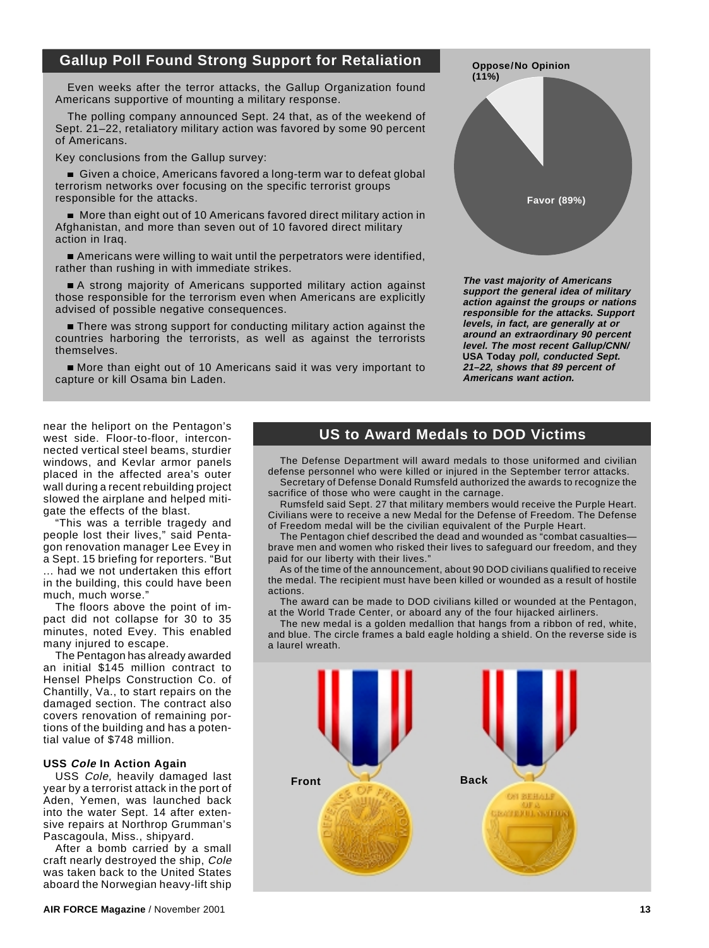## **Gallup Poll Found Strong Support for Retaliation**

Even weeks after the terror attacks, the Gallup Organization found Americans supportive of mounting a military response.

The polling company announced Sept. 24 that, as of the weekend of Sept. 21–22, retaliatory military action was favored by some 90 percent of Americans.

Key conclusions from the Gallup survey:

Given a choice, Americans favored a long-term war to defeat global terrorism networks over focusing on the specific terrorist groups responsible for the attacks.

 More than eight out of 10 Americans favored direct military action in Afghanistan, and more than seven out of 10 favored direct military action in Iraq.

Americans were willing to wait until the perpetrators were identified, rather than rushing in with immediate strikes.

A strong majority of Americans supported military action against those responsible for the terrorism even when Americans are explicitly advised of possible negative consequences.

**There was strong support for conducting military action against the** countries harboring the terrorists, as well as against the terrorists themselves.

More than eight out of 10 Americans said it was very important to capture or kill Osama bin Laden.



**The vast majority of Americans support the general idea of military action against the groups or nations responsible for the attacks. Support levels, in fact, are generally at or around an extraordinary 90 percent level. The most recent Gallup/CNN/ USA Today poll, conducted Sept. 21–22, shows that 89 percent of Americans want action.**

near the heliport on the Pentagon's west side. Floor-to-floor, interconnected vertical steel beams, sturdier windows, and Kevlar armor panels placed in the affected area's outer wall during a recent rebuilding project slowed the airplane and helped mitigate the effects of the blast.

"This was a terrible tragedy and people lost their lives," said Pentagon renovation manager Lee Evey in a Sept. 15 briefing for reporters. "But ... had we not undertaken this effort in the building, this could have been much, much worse."

The floors above the point of impact did not collapse for 30 to 35 minutes, noted Evey. This enabled many injured to escape.

The Pentagon has already awarded an initial \$145 million contract to Hensel Phelps Construction Co. of Chantilly, Va., to start repairs on the damaged section. The contract also covers renovation of remaining portions of the building and has a potential value of \$748 million.

#### **USS Cole In Action Again**

USS Cole, heavily damaged last year by a terrorist attack in the port of Aden, Yemen, was launched back into the water Sept. 14 after extensive repairs at Northrop Grumman's Pascagoula, Miss., shipyard.

After a bomb carried by a small craft nearly destroyed the ship, Cole was taken back to the United States aboard the Norwegian heavy-lift ship

## **US to Award Medals to DOD Victims**

The Defense Department will award medals to those uniformed and civilian defense personnel who were killed or injured in the September terror attacks. Secretary of Defense Donald Rumsfeld authorized the awards to recognize the

sacrifice of those who were caught in the carnage. Rumsfeld said Sept. 27 that military members would receive the Purple Heart. Civilians were to receive a new Medal for the Defense of Freedom. The Defense

of Freedom medal will be the civilian equivalent of the Purple Heart.

The Pentagon chief described the dead and wounded as "combat casualties brave men and women who risked their lives to safeguard our freedom, and they paid for our liberty with their lives."

As of the time of the announcement, about 90 DOD civilians qualified to receive the medal. The recipient must have been killed or wounded as a result of hostile actions.

The award can be made to DOD civilians killed or wounded at the Pentagon, at the World Trade Center, or aboard any of the four hijacked airliners.

The new medal is a golden medallion that hangs from a ribbon of red, white, and blue. The circle frames a bald eagle holding a shield. On the reverse side is a laurel wreath.

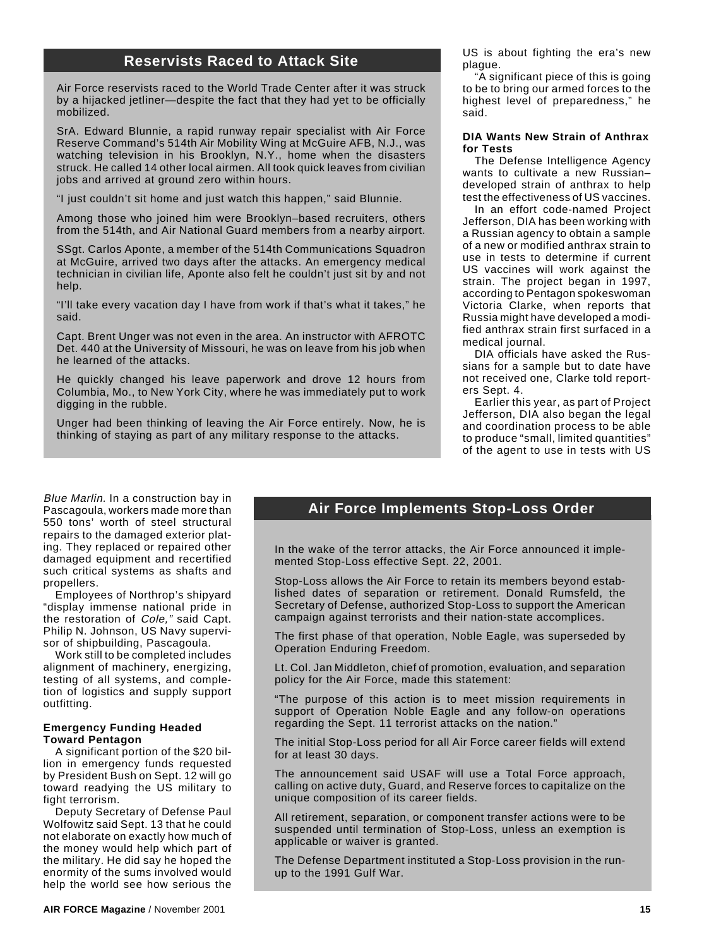## **Reservists Raced to Attack Site**

Air Force reservists raced to the World Trade Center after it was struck by a hijacked jetliner—despite the fact that they had yet to be officially mobilized.

SrA. Edward Blunnie, a rapid runway repair specialist with Air Force Reserve Command's 514th Air Mobility Wing at McGuire AFB, N.J., was watching television in his Brooklyn, N.Y., home when the disasters struck. He called 14 other local airmen. All took quick leaves from civilian jobs and arrived at ground zero within hours.

"I just couldn't sit home and just watch this happen," said Blunnie.

Among those who joined him were Brooklyn–based recruiters, others from the 514th, and Air National Guard members from a nearby airport.

SSgt. Carlos Aponte, a member of the 514th Communications Squadron at McGuire, arrived two days after the attacks. An emergency medical technician in civilian life, Aponte also felt he couldn't just sit by and not help.

"I'll take every vacation day I have from work if that's what it takes," he said.

Capt. Brent Unger was not even in the area. An instructor with AFROTC Det. 440 at the University of Missouri, he was on leave from his job when he learned of the attacks.

He quickly changed his leave paperwork and drove 12 hours from Columbia, Mo., to New York City, where he was immediately put to work digging in the rubble.

Unger had been thinking of leaving the Air Force entirely. Now, he is thinking of staying as part of any military response to the attacks.

US is about fighting the era's new plague.

"A significant piece of this is going to be to bring our armed forces to the highest level of preparedness," he said.

#### **DIA Wants New Strain of Anthrax for Tests**

The Defense Intelligence Agency wants to cultivate a new Russian– developed strain of anthrax to help test the effectiveness of US vaccines.

In an effort code-named Project Jefferson, DIA has been working with a Russian agency to obtain a sample of a new or modified anthrax strain to use in tests to determine if current US vaccines will work against the strain. The project began in 1997, according to Pentagon spokeswoman Victoria Clarke, when reports that Russia might have developed a modified anthrax strain first surfaced in a medical journal.

DIA officials have asked the Russians for a sample but to date have not received one, Clarke told reporters Sept. 4.

Earlier this year, as part of Project Jefferson, DIA also began the legal and coordination process to be able to produce "small, limited quantities" of the agent to use in tests with US

Blue Marlin. In a construction bay in Pascagoula, workers made more than 550 tons' worth of steel structural repairs to the damaged exterior plating. They replaced or repaired other damaged equipment and recertified such critical systems as shafts and propellers.

Employees of Northrop's shipyard "display immense national pride in the restoration of Cole," said Capt. Philip N. Johnson, US Navy supervisor of shipbuilding, Pascagoula.

Work still to be completed includes alignment of machinery, energizing, testing of all systems, and completion of logistics and supply support outfitting.

#### **Emergency Funding Headed Toward Pentagon**

A significant portion of the \$20 billion in emergency funds requested by President Bush on Sept. 12 will go toward readying the US military to fight terrorism.

Deputy Secretary of Defense Paul Wolfowitz said Sept. 13 that he could not elaborate on exactly how much of the money would help which part of the military. He did say he hoped the enormity of the sums involved would help the world see how serious the

### **Air Force Implements Stop-Loss Order**

In the wake of the terror attacks, the Air Force announced it implemented Stop-Loss effective Sept. 22, 2001.

Stop-Loss allows the Air Force to retain its members beyond established dates of separation or retirement. Donald Rumsfeld, the Secretary of Defense, authorized Stop-Loss to support the American campaign against terrorists and their nation-state accomplices.

The first phase of that operation, Noble Eagle, was superseded by Operation Enduring Freedom.

Lt. Col. Jan Middleton, chief of promotion, evaluation, and separation policy for the Air Force, made this statement:

"The purpose of this action is to meet mission requirements in support of Operation Noble Eagle and any follow-on operations regarding the Sept. 11 terrorist attacks on the nation."

The initial Stop-Loss period for all Air Force career fields will extend for at least 30 days.

The announcement said USAF will use a Total Force approach, calling on active duty, Guard, and Reserve forces to capitalize on the unique composition of its career fields.

All retirement, separation, or component transfer actions were to be suspended until termination of Stop-Loss, unless an exemption is applicable or waiver is granted.

The Defense Department instituted a Stop-Loss provision in the runup to the 1991 Gulf War.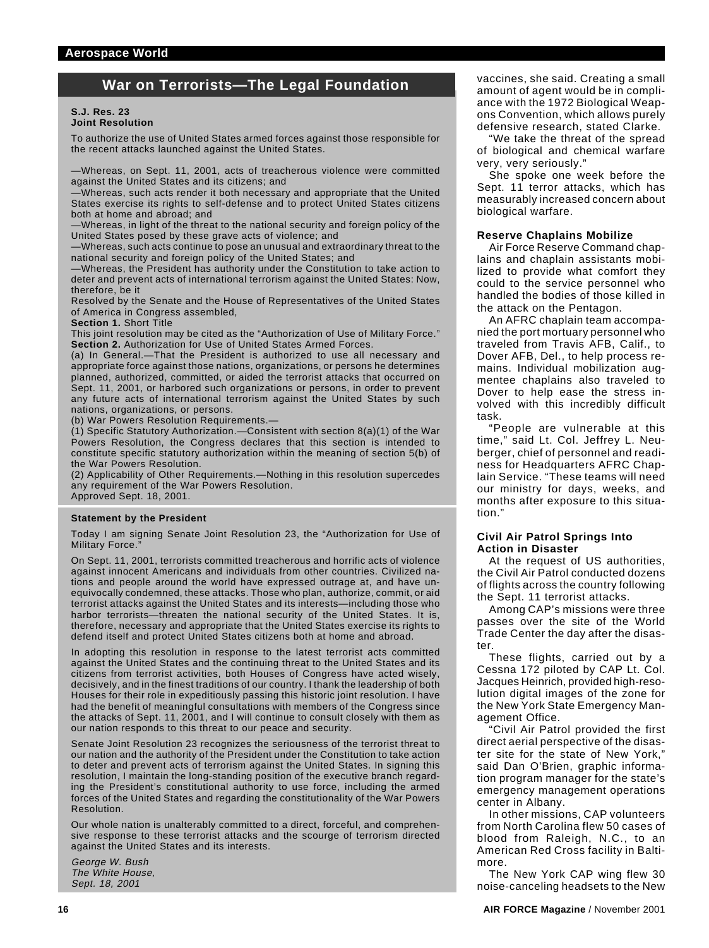## **War on Terrorists—The Legal Foundation**

#### **S.J. Res. 23 Joint Resolution**

To authorize the use of United States armed forces against those responsible for the recent attacks launched against the United States.

—Whereas, on Sept. 11, 2001, acts of treacherous violence were committed against the United States and its citizens; and

—Whereas, such acts render it both necessary and appropriate that the United States exercise its rights to self-defense and to protect United States citizens both at home and abroad; and

—Whereas, in light of the threat to the national security and foreign policy of the United States posed by these grave acts of violence; and

—Whereas, such acts continue to pose an unusual and extraordinary threat to the national security and foreign policy of the United States; and

—Whereas, the President has authority under the Constitution to take action to deter and prevent acts of international terrorism against the United States: Now, therefore, be it

Resolved by the Senate and the House of Representatives of the United States of America in Congress assembled,

**Section 1.** Short Title

This joint resolution may be cited as the "Authorization of Use of Military Force." **Section 2.** Authorization for Use of United States Armed Forces.

(a) In General.—That the President is authorized to use all necessary and appropriate force against those nations, organizations, or persons he determines planned, authorized, committed, or aided the terrorist attacks that occurred on Sept. 11, 2001, or harbored such organizations or persons, in order to prevent any future acts of international terrorism against the United States by such nations, organizations, or persons.

(b) War Powers Resolution Requirements.—

(1) Specific Statutory Authorization.—Consistent with section 8(a)(1) of the War Powers Resolution, the Congress declares that this section is intended to constitute specific statutory authorization within the meaning of section 5(b) of the War Powers Resolution.

(2) Applicability of Other Requirements.—Nothing in this resolution supercedes any requirement of the War Powers Resolution.

Approved Sept. 18, 2001.

#### **Statement by the President**

Today I am signing Senate Joint Resolution 23, the "Authorization for Use of Military Force."

On Sept. 11, 2001, terrorists committed treacherous and horrific acts of violence against innocent Americans and individuals from other countries. Civilized nations and people around the world have expressed outrage at, and have unequivocally condemned, these attacks. Those who plan, authorize, commit, or aid terrorist attacks against the United States and its interests—including those who harbor terrorists—threaten the national security of the United States. It is, therefore, necessary and appropriate that the United States exercise its rights to defend itself and protect United States citizens both at home and abroad.

In adopting this resolution in response to the latest terrorist acts committed against the United States and the continuing threat to the United States and its citizens from terrorist activities, both Houses of Congress have acted wisely, decisively, and in the finest traditions of our country. I thank the leadership of both Houses for their role in expeditiously passing this historic joint resolution. I have had the benefit of meaningful consultations with members of the Congress since the attacks of Sept. 11, 2001, and I will continue to consult closely with them as our nation responds to this threat to our peace and security.

Senate Joint Resolution 23 recognizes the seriousness of the terrorist threat to our nation and the authority of the President under the Constitution to take action to deter and prevent acts of terrorism against the United States. In signing this resolution, I maintain the long-standing position of the executive branch regarding the President's constitutional authority to use force, including the armed forces of the United States and regarding the constitutionality of the War Powers Resolution.

Our whole nation is unalterably committed to a direct, forceful, and comprehensive response to these terrorist attacks and the scourge of terrorism directed against the United States and its interests.

George W. Bush The White House, Sept. 18, 2001

vaccines, she said. Creating a small amount of agent would be in compliance with the 1972 Biological Weapons Convention, which allows purely defensive research, stated Clarke.

"We take the threat of the spread of biological and chemical warfare very, very seriously."

She spoke one week before the Sept. 11 terror attacks, which has measurably increased concern about biological warfare.

#### **Reserve Chaplains Mobilize**

Air Force Reserve Command chaplains and chaplain assistants mobilized to provide what comfort they could to the service personnel who handled the bodies of those killed in the attack on the Pentagon.

An AFRC chaplain team accompanied the port mortuary personnel who traveled from Travis AFB, Calif., to Dover AFB, Del., to help process remains. Individual mobilization augmentee chaplains also traveled to Dover to help ease the stress involved with this incredibly difficult task.

"People are vulnerable at this time," said Lt. Col. Jeffrey L. Neuberger, chief of personnel and readiness for Headquarters AFRC Chaplain Service. "These teams will need our ministry for days, weeks, and months after exposure to this situation."

#### **Civil Air Patrol Springs Into Action in Disaster**

At the request of US authorities, the Civil Air Patrol conducted dozens of flights across the country following the Sept. 11 terrorist attacks.

Among CAP's missions were three passes over the site of the World Trade Center the day after the disaster.

These flights, carried out by a Cessna 172 piloted by CAP Lt. Col. Jacques Heinrich, provided high-resolution digital images of the zone for the New York State Emergency Management Office.

"Civil Air Patrol provided the first direct aerial perspective of the disaster site for the state of New York," said Dan O'Brien, graphic information program manager for the state's emergency management operations center in Albany.

In other missions, CAP volunteers from North Carolina flew 50 cases of blood from Raleigh, N.C., to an American Red Cross facility in Baltimore.

The New York CAP wing flew 30 noise-canceling headsets to the New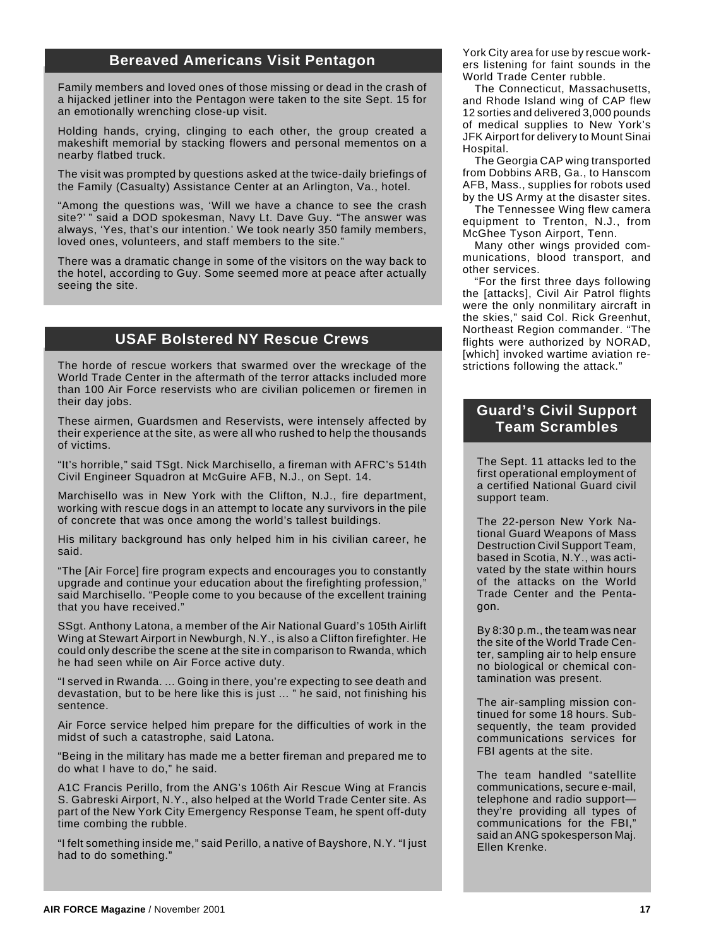## **Bereaved Americans Visit Pentagon**

Family members and loved ones of those missing or dead in the crash of a hijacked jetliner into the Pentagon were taken to the site Sept. 15 for an emotionally wrenching close-up visit.

Holding hands, crying, clinging to each other, the group created a makeshift memorial by stacking flowers and personal mementos on a nearby flatbed truck.

The visit was prompted by questions asked at the twice-daily briefings of the Family (Casualty) Assistance Center at an Arlington, Va., hotel.

"Among the questions was, 'Will we have a chance to see the crash site?' " said a DOD spokesman, Navy Lt. Dave Guy. "The answer was always, 'Yes, that's our intention.' We took nearly 350 family members, loved ones, volunteers, and staff members to the site."

There was a dramatic change in some of the visitors on the way back to the hotel, according to Guy. Some seemed more at peace after actually seeing the site.

## **USAF Bolstered NY Rescue Crews**

The horde of rescue workers that swarmed over the wreckage of the World Trade Center in the aftermath of the terror attacks included more than 100 Air Force reservists who are civilian policemen or firemen in their day jobs.

These airmen, Guardsmen and Reservists, were intensely affected by their experience at the site, as were all who rushed to help the thousands of victims.

"It's horrible," said TSgt. Nick Marchisello, a fireman with AFRC's 514th Civil Engineer Squadron at McGuire AFB, N.J., on Sept. 14.

Marchisello was in New York with the Clifton, N.J., fire department, working with rescue dogs in an attempt to locate any survivors in the pile of concrete that was once among the world's tallest buildings.

His military background has only helped him in his civilian career, he said.

"The [Air Force] fire program expects and encourages you to constantly upgrade and continue your education about the firefighting profession," said Marchisello. "People come to you because of the excellent training that you have received."

SSgt. Anthony Latona, a member of the Air National Guard's 105th Airlift Wing at Stewart Airport in Newburgh, N.Y., is also a Clifton firefighter. He could only describe the scene at the site in comparison to Rwanda, which he had seen while on Air Force active duty.

"I served in Rwanda. ... Going in there, you're expecting to see death and devastation, but to be here like this is just ... " he said, not finishing his sentence.

Air Force service helped him prepare for the difficulties of work in the midst of such a catastrophe, said Latona.

"Being in the military has made me a better fireman and prepared me to do what I have to do," he said.

A1C Francis Perillo, from the ANG's 106th Air Rescue Wing at Francis S. Gabreski Airport, N.Y., also helped at the World Trade Center site. As part of the New York City Emergency Response Team, he spent off-duty time combing the rubble.

"I felt something inside me," said Perillo, a native of Bayshore, N.Y. "I just had to do something."

York City area for use by rescue workers listening for faint sounds in the World Trade Center rubble.

The Connecticut, Massachusetts, and Rhode Island wing of CAP flew 12 sorties and delivered 3,000 pounds of medical supplies to New York's JFK Airport for delivery to Mount Sinai Hospital.

The Georgia CAP wing transported from Dobbins ARB, Ga., to Hanscom AFB, Mass., supplies for robots used by the US Army at the disaster sites.

The Tennessee Wing flew camera equipment to Trenton, N.J., from McGhee Tyson Airport, Tenn.

Many other wings provided communications, blood transport, and other services.

"For the first three days following the [attacks], Civil Air Patrol flights were the only nonmilitary aircraft in the skies," said Col. Rick Greenhut, Northeast Region commander. "The flights were authorized by NORAD, [which] invoked wartime aviation restrictions following the attack."

## **Guard's Civil Support Team Scrambles**

The Sept. 11 attacks led to the first operational employment of a certified National Guard civil support team.

The 22-person New York National Guard Weapons of Mass Destruction Civil Support Team, based in Scotia, N.Y., was activated by the state within hours of the attacks on the World Trade Center and the Pentagon.

By 8:30 p.m., the team was near the site of the World Trade Center, sampling air to help ensure no biological or chemical contamination was present.

The air-sampling mission continued for some 18 hours. Subsequently, the team provided communications services for FBI agents at the site.

The team handled "satellite communications, secure e-mail, telephone and radio support they're providing all types of communications for the FBI," said an ANG spokesperson Maj. Ellen Krenke.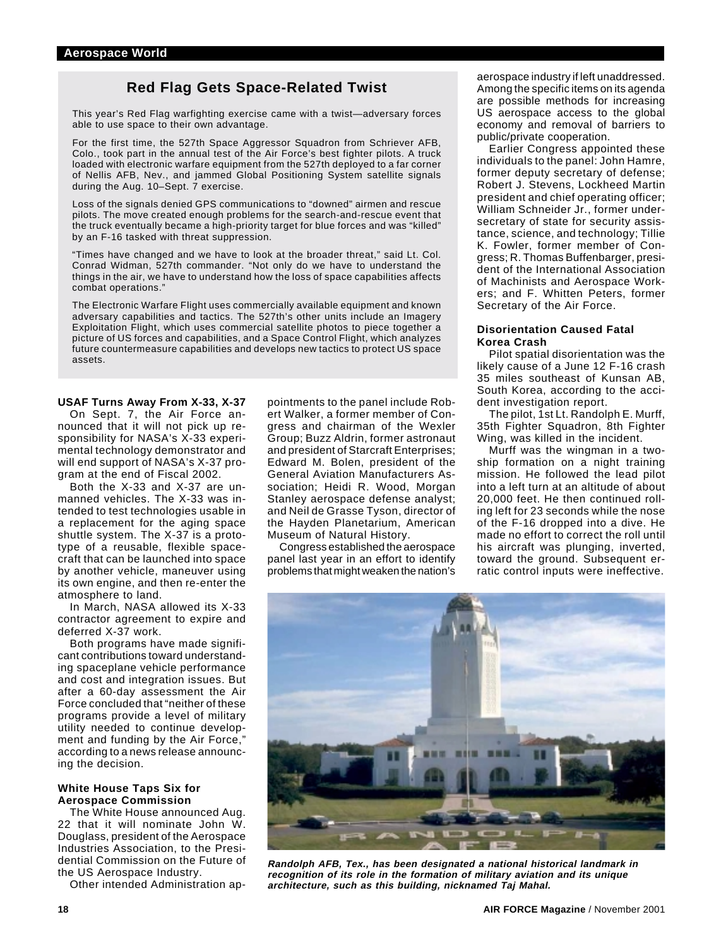## **Red Flag Gets Space-Related Twist**

This year's Red Flag warfighting exercise came with a twist—adversary forces able to use space to their own advantage.

For the first time, the 527th Space Aggressor Squadron from Schriever AFB, Colo., took part in the annual test of the Air Force's best fighter pilots. A truck loaded with electronic warfare equipment from the 527th deployed to a far corner of Nellis AFB, Nev., and jammed Global Positioning System satellite signals during the Aug. 10-Sept. 7 exercise.

Loss of the signals denied GPS communications to "downed" airmen and rescue pilots. The move created enough problems for the search-and-rescue event that the truck eventually became a high-priority target for blue forces and was "killed" by an F-16 tasked with threat suppression.

"Times have changed and we have to look at the broader threat," said Lt. Col. Conrad Widman, 527th commander. "Not only do we have to understand the things in the air, we have to understand how the loss of space capabilities affects combat operations."

The Electronic Warfare Flight uses commercially available equipment and known adversary capabilities and tactics. The 527th's other units include an Imagery Exploitation Flight, which uses commercial satellite photos to piece together a picture of US forces and capabilities, and a Space Control Flight, which analyzes future countermeasure capabilities and develops new tactics to protect US space assets.

#### **USAF Turns Away From X-33, X-37**

On Sept. 7, the Air Force announced that it will not pick up responsibility for NASA's X-33 experimental technology demonstrator and will end support of NASA's X-37 program at the end of Fiscal 2002.

Both the X-33 and X-37 are unmanned vehicles. The X-33 was intended to test technologies usable in a replacement for the aging space shuttle system. The X-37 is a prototype of a reusable, flexible spacecraft that can be launched into space by another vehicle, maneuver using its own engine, and then re-enter the atmosphere to land.

In March, NASA allowed its X-33 contractor agreement to expire and deferred X-37 work.

Both programs have made significant contributions toward understanding spaceplane vehicle performance and cost and integration issues. But after a 60-day assessment the Air Force concluded that "neither of these programs provide a level of military utility needed to continue development and funding by the Air Force," according to a news release announcing the decision.

#### **White House Taps Six for Aerospace Commission**

The White House announced Aug. 22 that it will nominate John W. Douglass, president of the Aerospace Industries Association, to the Presidential Commission on the Future of the US Aerospace Industry.

Other intended Administration ap-

pointments to the panel include Robert Walker, a former member of Congress and chairman of the Wexler Group; Buzz Aldrin, former astronaut and president of Starcraft Enterprises; Edward M. Bolen, president of the General Aviation Manufacturers Association; Heidi R. Wood, Morgan Stanley aerospace defense analyst; and Neil de Grasse Tyson, director of the Hayden Planetarium, American Museum of Natural History.

Congress established the aerospace panel last year in an effort to identify problems that might weaken the nation's aerospace industry if left unaddressed. Among the specific items on its agenda are possible methods for increasing US aerospace access to the global economy and removal of barriers to public/private cooperation.

Earlier Congress appointed these individuals to the panel: John Hamre, former deputy secretary of defense; Robert J. Stevens, Lockheed Martin president and chief operating officer; William Schneider Jr., former undersecretary of state for security assistance, science, and technology; Tillie K. Fowler, former member of Congress; R. Thomas Buffenbarger, president of the International Association of Machinists and Aerospace Workers; and F. Whitten Peters, former Secretary of the Air Force.

#### **Disorientation Caused Fatal Korea Crash**

Pilot spatial disorientation was the likely cause of a June 12 F-16 crash 35 miles southeast of Kunsan AB, South Korea, according to the accident investigation report.

The pilot, 1st Lt. Randolph E. Murff, 35th Fighter Squadron, 8th Fighter Wing, was killed in the incident.

Murff was the wingman in a twoship formation on a night training mission. He followed the lead pilot into a left turn at an altitude of about 20,000 feet. He then continued rolling left for 23 seconds while the nose of the F-16 dropped into a dive. He made no effort to correct the roll until his aircraft was plunging, inverted, toward the ground. Subsequent erratic control inputs were ineffective.



**Randolph AFB, Tex., has been designated a national historical landmark in recognition of its role in the formation of military aviation and its unique architecture, such as this building, nicknamed Taj Mahal.**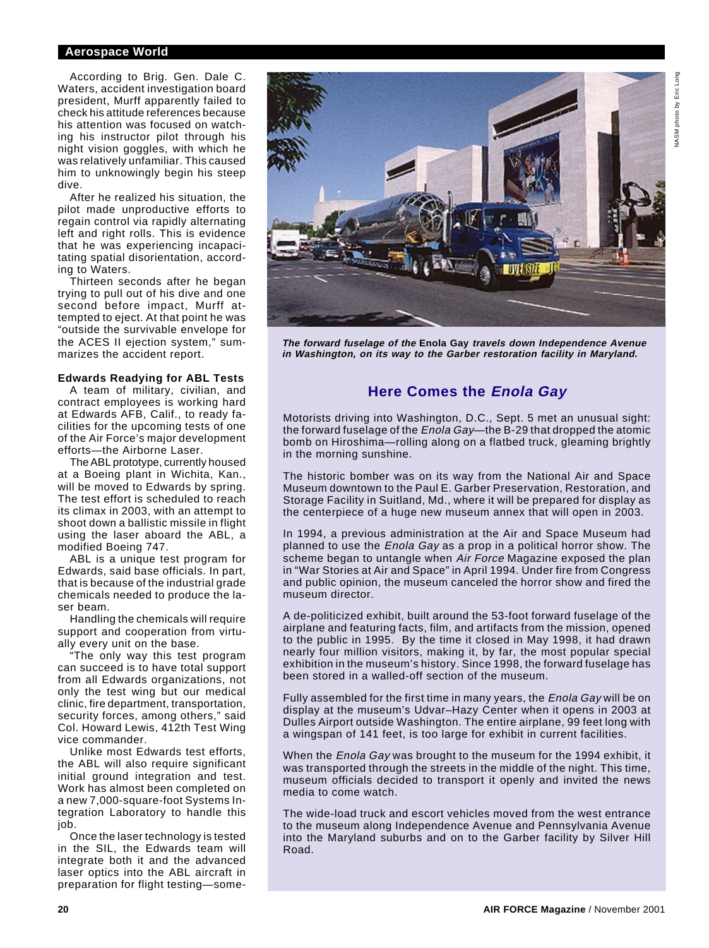#### **Aerospace World**

According to Brig. Gen. Dale C. Waters, accident investigation board president, Murff apparently failed to check his attitude references because his attention was focused on watching his instructor pilot through his night vision goggles, with which he was relatively unfamiliar. This caused him to unknowingly begin his steep dive.

After he realized his situation, the pilot made unproductive efforts to regain control via rapidly alternating left and right rolls. This is evidence that he was experiencing incapacitating spatial disorientation, according to Waters.

Thirteen seconds after he began trying to pull out of his dive and one second before impact, Murff attempted to eject. At that point he was "outside the survivable envelope for the ACES II ejection system," summarizes the accident report.

#### **Edwards Readying for ABL Tests**

A team of military, civilian, and contract employees is working hard at Edwards AFB, Calif., to ready facilities for the upcoming tests of one of the Air Force's major development efforts—the Airborne Laser.

The ABL prototype, currently housed at a Boeing plant in Wichita, Kan., will be moved to Edwards by spring. The test effort is scheduled to reach its climax in 2003, with an attempt to shoot down a ballistic missile in flight using the laser aboard the ABL, a modified Boeing 747.

ABL is a unique test program for Edwards, said base officials. In part, that is because of the industrial grade chemicals needed to produce the laser beam.

Handling the chemicals will require support and cooperation from virtually every unit on the base.

"The only way this test program can succeed is to have total support from all Edwards organizations, not only the test wing but our medical clinic, fire department, transportation, security forces, among others," said Col. Howard Lewis, 412th Test Wing vice commander.

Unlike most Edwards test efforts, the ABL will also require significant initial ground integration and test. Work has almost been completed on a new 7,000-square-foot Systems Integration Laboratory to handle this job.

Once the laser technology is tested in the SIL, the Edwards team will integrate both it and the advanced laser optics into the ABL aircraft in preparation for flight testing—some-



**The forward fuselage of the Enola Gay travels down Independence Avenue in Washington, on its way to the Garber restoration facility in Maryland.**

## **Here Comes the Enola Gay**

Motorists driving into Washington, D.C., Sept. 5 met an unusual sight: the forward fuselage of the *Enola Gay*—the B-29 that dropped the atomic bomb on Hiroshima—rolling along on a flatbed truck, gleaming brightly in the morning sunshine.

The historic bomber was on its way from the National Air and Space Museum downtown to the Paul E. Garber Preservation, Restoration, and Storage Facility in Suitland, Md., where it will be prepared for display as the centerpiece of a huge new museum annex that will open in 2003.

In 1994, a previous administration at the Air and Space Museum had planned to use the Enola Gay as a prop in a political horror show. The scheme began to untangle when Air Force Magazine exposed the plan in "War Stories at Air and Space" in April 1994. Under fire from Congress and public opinion, the museum canceled the horror show and fired the museum director.

A de-politicized exhibit, built around the 53-foot forward fuselage of the airplane and featuring facts, film, and artifacts from the mission, opened to the public in 1995. By the time it closed in May 1998, it had drawn nearly four million visitors, making it, by far, the most popular special exhibition in the museum's history. Since 1998, the forward fuselage has been stored in a walled-off section of the museum.

Fully assembled for the first time in many years, the Enola Gay will be on display at the museum's Udvar–Hazy Center when it opens in 2003 at Dulles Airport outside Washington. The entire airplane, 99 feet long with a wingspan of 141 feet, is too large for exhibit in current facilities.

When the *Enola Gay* was brought to the museum for the 1994 exhibit, it was transported through the streets in the middle of the night. This time, museum officials decided to transport it openly and invited the news media to come watch.

The wide-load truck and escort vehicles moved from the west entrance to the museum along Independence Avenue and Pennsylvania Avenue into the Maryland suburbs and on to the Garber facility by Silver Hill Road.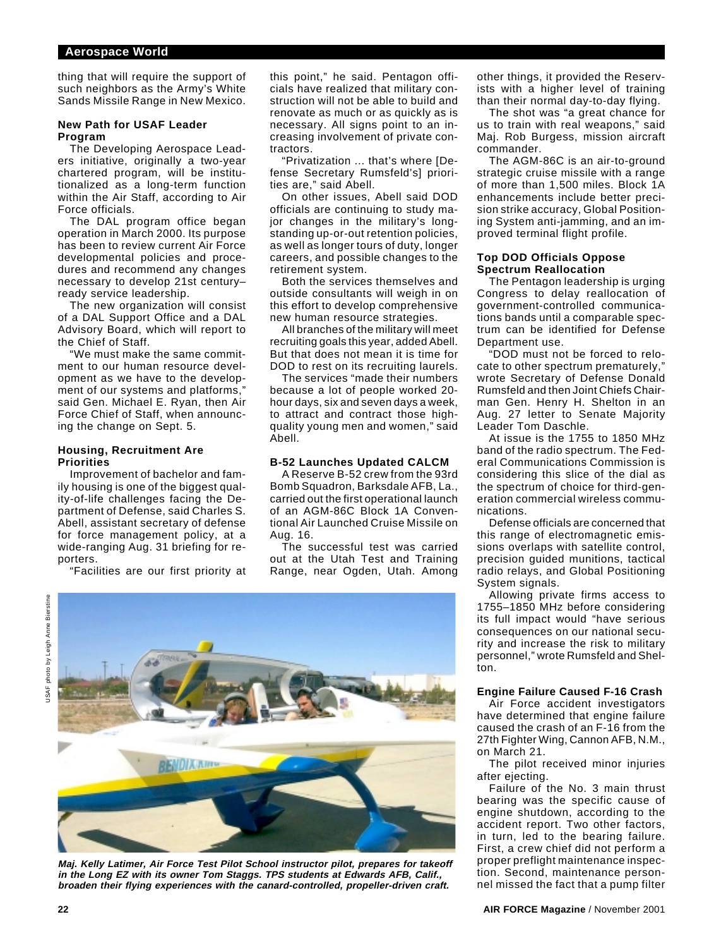thing that will require the support of such neighbors as the Army's White Sands Missile Range in New Mexico.

#### **New Path for USAF Leader Program**

The Developing Aerospace Leaders initiative, originally a two-year chartered program, will be institutionalized as a long-term function within the Air Staff, according to Air Force officials.

The DAL program office began operation in March 2000. Its purpose has been to review current Air Force developmental policies and procedures and recommend any changes necessary to develop 21st century– ready service leadership.

The new organization will consist of a DAL Support Office and a DAL Advisory Board, which will report to the Chief of Staff.

"We must make the same commitment to our human resource development as we have to the development of our systems and platforms," said Gen. Michael E. Ryan, then Air Force Chief of Staff, when announcing the change on Sept. 5.

#### **Housing, Recruitment Are Priorities**

Improvement of bachelor and family housing is one of the biggest quality-of-life challenges facing the Department of Defense, said Charles S. Abell, assistant secretary of defense for force management policy, at a wide-ranging Aug. 31 briefing for reporters.

"Facilities are our first priority at

this point," he said. Pentagon officials have realized that military construction will not be able to build and renovate as much or as quickly as is necessary. All signs point to an increasing involvement of private contractors.

"Privatization ... that's where [Defense Secretary Rumsfeld's] priorities are," said Abell.

On other issues, Abell said DOD officials are continuing to study major changes in the military's longstanding up-or-out retention policies, as well as longer tours of duty, longer careers, and possible changes to the retirement system.

Both the services themselves and outside consultants will weigh in on this effort to develop comprehensive new human resource strategies.

All branches of the military will meet recruiting goals this year, added Abell. But that does not mean it is time for DOD to rest on its recruiting laurels.

The services "made their numbers because a lot of people worked 20 hour days, six and seven days a week, to attract and contract those highquality young men and women," said Abell.

#### **B-52 Launches Updated CALCM**

A Reserve B-52 crew from the 93rd Bomb Squadron, Barksdale AFB, La., carried out the first operational launch of an AGM-86C Block 1A Conventional Air Launched Cruise Missile on Aug. 16.

The successful test was carried out at the Utah Test and Training Range, near Ogden, Utah. Among

photo by Leigh Anne Bierstine USAF photo by Leigh Anne Bierstine



**Maj. Kelly Latimer, Air Force Test Pilot School instructor pilot, prepares for takeoff in the Long EZ with its owner Tom Staggs. TPS students at Edwards AFB, Calif., broaden their flying experiences with the canard-controlled, propeller-driven craft.**

other things, it provided the Reservists with a higher level of training than their normal day-to-day flying.

The shot was "a great chance for us to train with real weapons," said Maj. Rob Burgess, mission aircraft commander.

The AGM-86C is an air-to-ground strategic cruise missile with a range of more than 1,500 miles. Block 1A enhancements include better precision strike accuracy, Global Positioning System anti-jamming, and an improved terminal flight profile.

#### **Top DOD Officials Oppose Spectrum Reallocation**

The Pentagon leadership is urging Congress to delay reallocation of government-controlled communications bands until a comparable spectrum can be identified for Defense Department use.

"DOD must not be forced to relocate to other spectrum prematurely, wrote Secretary of Defense Donald Rumsfeld and then Joint Chiefs Chairman Gen. Henry H. Shelton in an Aug. 27 letter to Senate Majority Leader Tom Daschle.

At issue is the 1755 to 1850 MHz band of the radio spectrum. The Federal Communications Commission is considering this slice of the dial as the spectrum of choice for third-generation commercial wireless communications.

Defense officials are concerned that this range of electromagnetic emissions overlaps with satellite control, precision guided munitions, tactical radio relays, and Global Positioning System signals.

Allowing private firms access to 1755–1850 MHz before considering its full impact would "have serious consequences on our national security and increase the risk to military personnel," wrote Rumsfeld and Shelton.

#### **Engine Failure Caused F-16 Crash**

Air Force accident investigators have determined that engine failure caused the crash of an F-16 from the 27th Fighter Wing, Cannon AFB, N.M., on March 21.

The pilot received minor injuries after ejecting.

Failure of the No. 3 main thrust bearing was the specific cause of engine shutdown, according to the accident report. Two other factors, in turn, led to the bearing failure. First, a crew chief did not perform a proper preflight maintenance inspection. Second, maintenance personnel missed the fact that a pump filter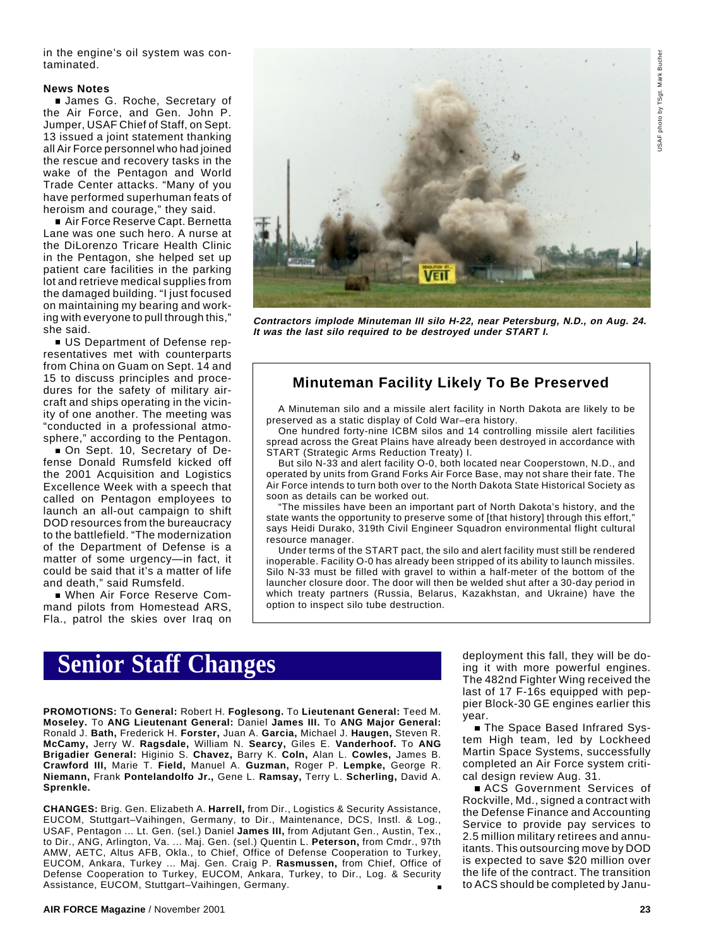USAF photo by TSgt. Mark Bucher USAF photo by TSgt. Mark Buche

in the engine's oil system was contaminated.

#### **News Notes**

**James G. Roche, Secretary of** the Air Force, and Gen. John P. Jumper, USAF Chief of Staff, on Sept. 13 issued a joint statement thanking all Air Force personnel who had joined the rescue and recovery tasks in the wake of the Pentagon and World Trade Center attacks. "Many of you have performed superhuman feats of heroism and courage," they said.

■ Air Force Reserve Capt. Bernetta Lane was one such hero. A nurse at the DiLorenzo Tricare Health Clinic in the Pentagon, she helped set up patient care facilities in the parking lot and retrieve medical supplies from the damaged building. "I just focused on maintaining my bearing and working with everyone to pull through this," she said.

US Department of Defense representatives met with counterparts from China on Guam on Sept. 14 and 15 to discuss principles and procedures for the safety of military aircraft and ships operating in the vicinity of one another. The meeting was "conducted in a professional atmosphere," according to the Pentagon.

On Sept. 10, Secretary of Defense Donald Rumsfeld kicked off the 2001 Acquisition and Logistics Excellence Week with a speech that called on Pentagon employees to launch an all-out campaign to shift DOD resources from the bureaucracy to the battlefield. "The modernization of the Department of Defense is a matter of some urgency—in fact, it could be said that it's a matter of life and death," said Rumsfeld.

When Air Force Reserve Command pilots from Homestead ARS, Fla., patrol the skies over Iraq on



**Contractors implode Minuteman III silo H-22, near Petersburg, N.D., on Aug. 24. It was the last silo required to be destroyed under START I.**

## **Minuteman Facility Likely To Be Preserved**

A Minuteman silo and a missile alert facility in North Dakota are likely to be preserved as a static display of Cold War–era history.

One hundred forty-nine ICBM silos and 14 controlling missile alert facilities spread across the Great Plains have already been destroyed in accordance with START (Strategic Arms Reduction Treaty) I.

But silo N-33 and alert facility O-0, both located near Cooperstown, N.D., and operated by units from Grand Forks Air Force Base, may not share their fate. The Air Force intends to turn both over to the North Dakota State Historical Society as soon as details can be worked out.

"The missiles have been an important part of North Dakota's history, and the state wants the opportunity to preserve some of [that history] through this effort," says Heidi Durako, 319th Civil Engineer Squadron environmental flight cultural resource manager.

Under terms of the START pact, the silo and alert facility must still be rendered inoperable. Facility O-0 has already been stripped of its ability to launch missiles. Silo N-33 must be filled with gravel to within a half-meter of the bottom of the launcher closure door. The door will then be welded shut after a 30-day period in which treaty partners (Russia, Belarus, Kazakhstan, and Ukraine) have the option to inspect silo tube destruction.

## **Senior Staff Changes**

**PROMOTIONS:** To **General:** Robert H. **Foglesong.** To **Lieutenant General:** Teed M. **Moseley.** To **ANG Lieutenant General:** Daniel **James III.** To **ANG Major General:** Ronald J. **Bath,** Frederick H. **Forster,** Juan A. **Garcia,** Michael J. **Haugen,** Steven R. **McCamy,** Jerry W. **Ragsdale,** William N. **Searcy,** Giles E. **Vanderhoof.** To **ANG Brigadier General:** Higinio S. **Chavez,** Barry K. **Coln,** Alan L. **Cowles,** James B. **Crawford III,** Marie T. **Field,** Manuel A. **Guzman,** Roger P. **Lempke,** George R. **Niemann,** Frank **Pontelandolfo Jr.,** Gene L. **Ramsay,** Terry L. **Scherling,** David A. **Sprenkle.**

**CHANGES:** Brig. Gen. Elizabeth A. **Harrell,** from Dir., Logistics & Security Assistance, EUCOM, Stuttgart–Vaihingen, Germany, to Dir., Maintenance, DCS, Instl. & Log., USAF, Pentagon ... Lt. Gen. (sel.) Daniel **James III,** from Adjutant Gen., Austin, Tex., to Dir., ANG, Arlington, Va. ... Maj. Gen. (sel.) Quentin L. **Peterson,** from Cmdr., 97th AMW, AETC, Altus AFB, Okla., to Chief, Office of Defense Cooperation to Turkey, EUCOM, Ankara, Turkey ... Maj. Gen. Craig P. **Rasmussen,** from Chief, Office of Defense Cooperation to Turkey, EUCOM, Ankara, Turkey, to Dir., Log. & Security Assistance, EUCOM, Stuttgart–Vaihingen, Germany.

deployment this fall, they will be doing it with more powerful engines. The 482nd Fighter Wing received the last of 17 F-16s equipped with peppier Block-30 GE engines earlier this year.

■ The Space Based Infrared System High team, led by Lockheed Martin Space Systems, successfully completed an Air Force system critical design review Aug. 31.

ACS Government Services of Rockville, Md., signed a contract with the Defense Finance and Accounting Service to provide pay services to 2.5 million military retirees and annuitants. This outsourcing move by DOD is expected to save \$20 million over the life of the contract. The transition to ACS should be completed by Janu-